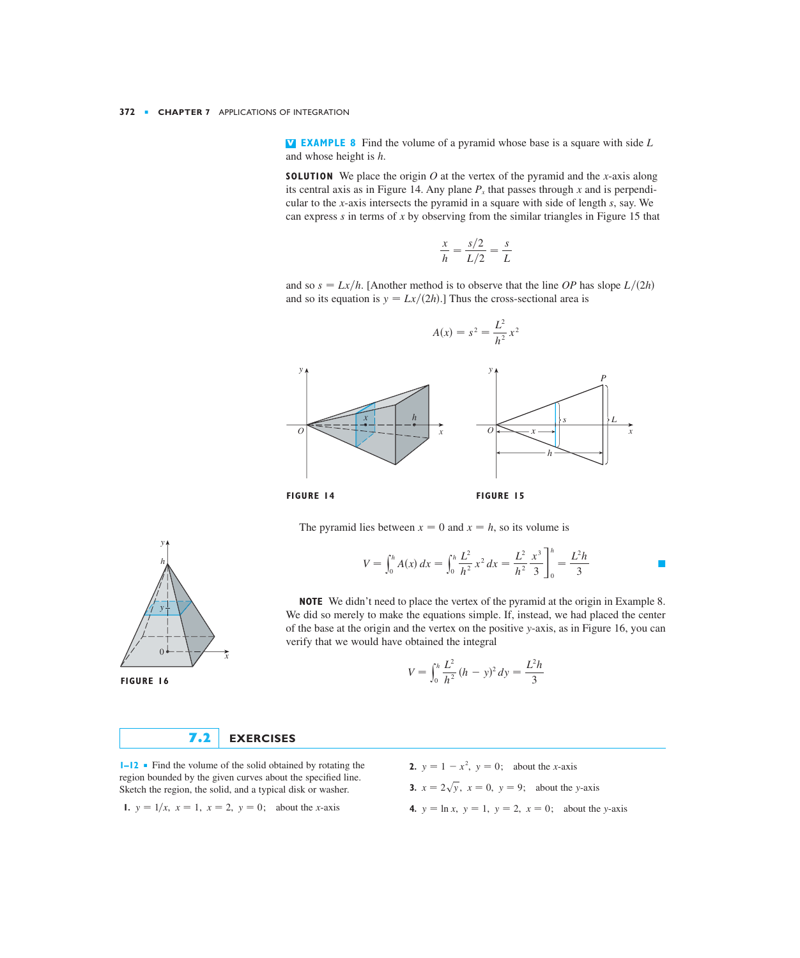**EXAMPLE 8** Find the volume of a pyramid whose base is a square with side **V** *L* and whose height is *h*.

**SOLUTION** We place the origin O at the vertex of the pyramid and the x-axis along its central axis as in Figure 14. Any plane  $P_x$  that passes through x and is perpendicular to the *x*-axis intersects the pyramid in a square with side of length *s*, say. We can express s in terms of x by observing from the similar triangles in Figure 15 that

$$
\frac{x}{h} = \frac{s/2}{L/2} = \frac{s}{L}
$$

and so  $s = \frac{Lx}{h}$ . [Another method is to observe that the line *OP* has slope  $L/(2h)$ and so its equation is  $y = \frac{Lx}{2h}$ .] Thus the cross-sectional area is





The pyramid lies between  $x = 0$  and  $x = h$ , so its volume is

$$
V = \int_0^h A(x) dx = \int_0^h \frac{L^2}{h^2} x^2 dx = \frac{L^2}{h^2} \frac{x^3}{3} \bigg]_0^h = \frac{L^2 h}{3}
$$

**NOTE** We didn't need to place the vertex of the pyramid at the origin in Example 8. We did so merely to make the equations simple. If, instead, we had placed the center of the base at the origin and the vertex on the positive y-axis, as in Figure 16, you can verify that we would have obtained the integral

$$
V = \int_0^h \frac{L^2}{h^2} (h - y)^2 dy = \frac{L^2 h}{3}
$$



*I***−12** ■ Find the volume of the solid obtained by rotating the region bounded by the given curves about the specified line. Sketch the region, the solid, and a typical disk or washer.

1. 
$$
y = 1/x
$$
,  $x = 1$ ,  $x = 2$ ,  $y = 0$ ; about the *x*-axis

**2.**  $y = 1 - x^2$ ,  $y = 0$ ; about the *x*-axis

**3.**  $x = 2\sqrt{y}$ ,  $x = 0$ ,  $y = 9$ ; about the y-axis

**4.**  $y = \ln x$ ,  $y = 1$ ,  $y = 2$ ,  $x = 0$ ; about the y-axis



**FIGURE 16**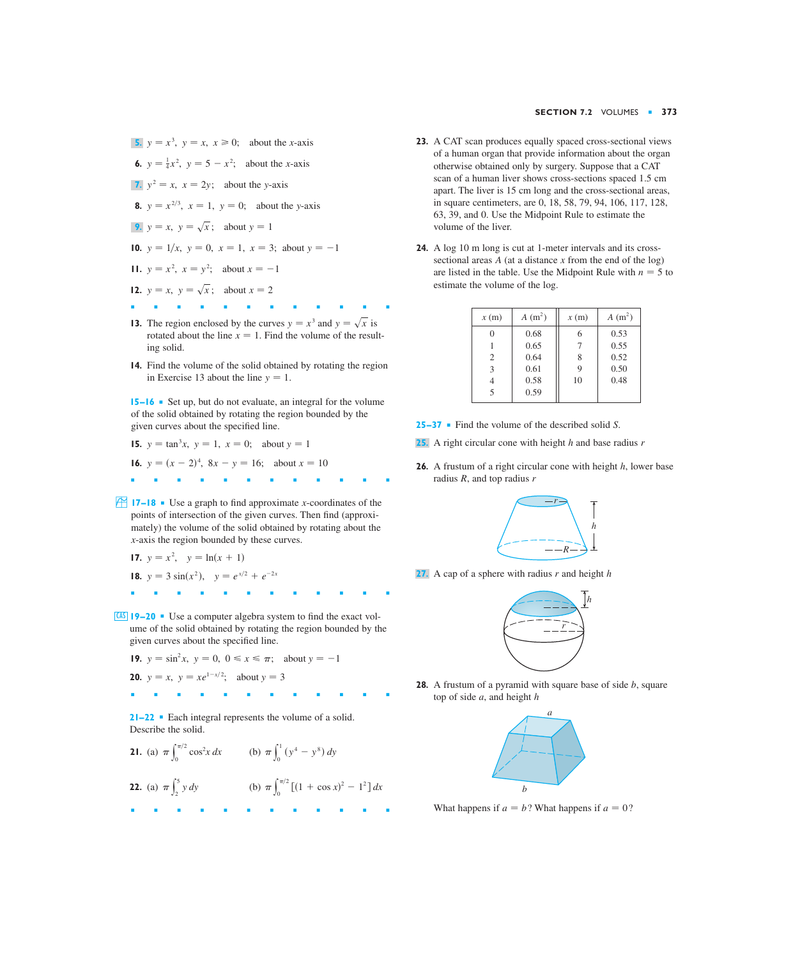- **5.**  $y = x^3$ ,  $y = x$ ,  $x \ge 0$ ; about the *x*-axis **6.**  $y = \frac{1}{4}x^2$ ,  $y = 5 - x^2$ ; about the *x*-axis 7.  $y^2 = x$ ,  $x = 2y$ ; about the *y*-axis **8.**  $y = x^{2/3}, x = 1, y = 0;$  about the y-axis **9.**  $y = x$ ,  $y = \sqrt{x}$ ; about  $y = 1$ **10.**  $y = 1/x$ ,  $y = 0$ ,  $x = 1$ ,  $x = 3$ ; about  $y = -1$ **11.**  $y = x^2$ ,  $x = y^2$ ; about  $x = -1$ **12.**  $y = x$ ,  $y = \sqrt{x}$ ; about  $x = 2$ ■■■■■■■■■■■■
- **13.** The region enclosed by the curves  $y = x^3$  and  $y = \sqrt{x}$  is rotated about the line  $x = 1$ . Find the volume of the resulting solid.
- **14.** Find the volume of the solid obtained by rotating the region in Exercise 13 about the line  $y = 1$ .

**15–16** ■ Set up, but do not evaluate, an integral for the volume of the solid obtained by rotating the region bounded by the given curves about the specified line.

**15.**  $y = \tan^3 x$ ,  $y = 1$ ,  $x = 0$ ; about  $y = 1$ 

**16.**  $y = (x - 2)^4$ ,  $8x - y = 16$ ; about  $x = 10$ 

■■■■■■■■■■■■

**17–18** • Use a graph to find approximate *x*-coordinates of the points of intersection of the given curves. Then find (approximately) the volume of the solid obtained by rotating about the -axis the region bounded by these curves. *x*

17. 
$$
y = x^2
$$
,  $y = \ln(x + 1)$ 

- **18.**  $y = 3 \sin(x^2)$ ,  $y = e^{x/2} + e^{-2x}$
- ■■■■■■■■■■■■
- **19–20** Use a computer algebra system to find the exact vol-CAS ume of the solid obtained by rotating the region bounded by the given curves about the specified line.

**19.** 
$$
y = \sin^2 x
$$
,  $y = 0$ ,  $0 \le x \le \pi$ ; about  $y = -1$ 

**20.** 
$$
y = x
$$
,  $y = xe^{1-x/2}$ ; about  $y = 3$ 

■■■■■■■■■■■■

**21–22** ■ Each integral represents the volume of a solid. Describe the solid.

**21.** (a) 
$$
\pi \int_0^{\pi/2} \cos^2 x \, dx
$$
 (b)  $\pi \int_0^1 (y^4 - y^8) \, dy$   
\n**22.** (a)  $\pi \int_2^5 y \, dy$  (b)  $\pi \int_0^{\pi/2} [(1 + \cos x)^2 - 1^2] \, dx$ 

- **23.** A CAT scan produces equally spaced cross-sectional views of a human organ that provide information about the organ otherwise obtained only by surgery. Suppose that a CAT scan of a human liver shows cross-sections spaced 1.5 cm apart. The liver is 15 cm long and the cross-sectional areas, in square centimeters, are 0, 18, 58, 79, 94, 106, 117, 128, 63, 39, and 0. Use the Midpoint Rule to estimate the volume of the liver.
- **24.** A log 10 m long is cut at 1-meter intervals and its crosssectional areas  $A$  (at a distance  $x$  from the end of the log) are listed in the table. Use the Midpoint Rule with  $n = 5$  to estimate the volume of the log.

| x(m)                        | $A(m^2)$ | x(m) | $A(m^2)$ |
|-----------------------------|----------|------|----------|
| 0                           | 0.68     | 6    | 0.53     |
|                             | 0.65     | 7    | 0.55     |
| $\mathcal{D}_{\mathcal{L}}$ | 0.64     | 8    | 0.52     |
| 3                           | 0.61     | 9    | 0.50     |
|                             | 0.58     | 10   | 0.48     |
| $\overline{\phantom{0}}$    | 0.59     |      |          |

- **25–37** Find the volume of the described solid S.
- 25. A right circular cone with height h and base radius r
- **26.** A frustum of a right circular cone with height h, lower base radius R, and top radius r



**27.** A cap of a sphere with radius  $r$  and height  $h$ 



**28.** A frustum of a pyramid with square base of side b, square top of side *a*, and height *h* 



What happens if  $a = b$ ? What happens if  $a = 0$ ?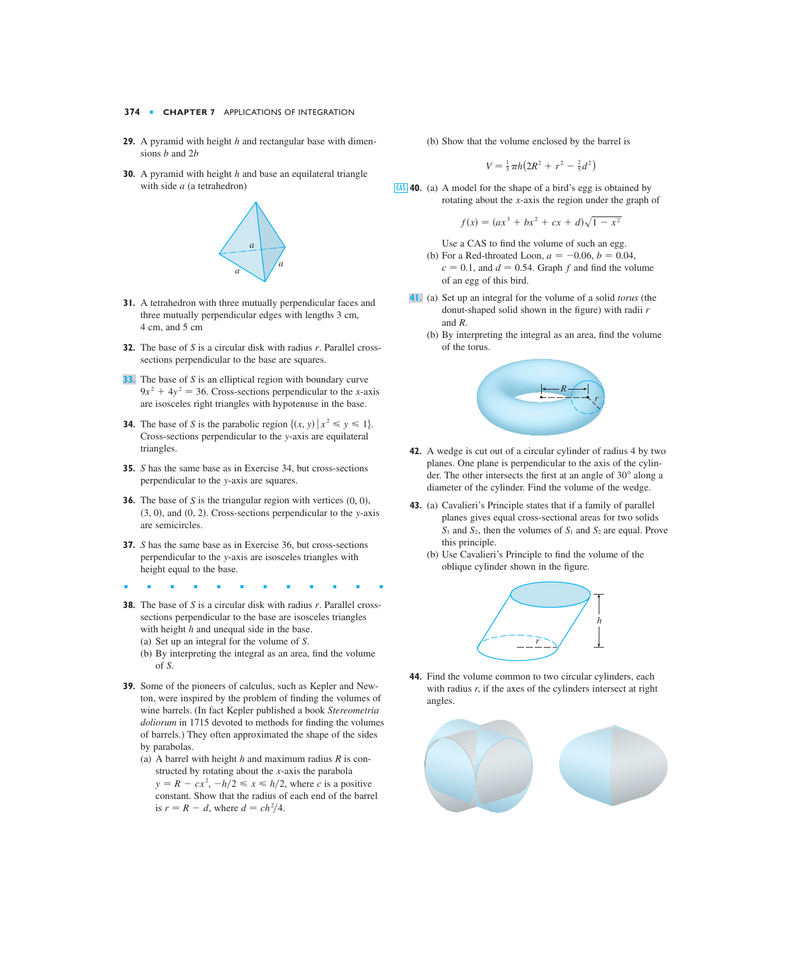## **374** ■ **CHAPTER 7** APPLICATIONS OF INTEGRATION

- **29.** A pyramid with height h and rectangular base with dimensions *b* and 2*b*
- **30.** A pyramid with height h and base an equilateral triangle with side *a* (a tetrahedron)



- **31.** A tetrahedron with three mutually perpendicular faces and three mutually perpendicular edges with lengths 3 cm, 4 cm, and 5 cm
- **32.** The base of S is a circular disk with radius r. Parallel crosssections perpendicular to the base are squares.
- **33.** The base of S is an elliptical region with boundary curve  $9x^2 + 4y^2 = 36$ . Cross-sections perpendicular to the *x*-axis are isosceles right triangles with hypotenuse in the base.
- **34.** The base of *S* is the parabolic region  $\{(x, y) | x^2 \le y \le 1\}.$ Cross-sections perpendicular to the y-axis are equilateral triangles.
- **35.** *S* has the same base as in Exercise 34, but cross-sections perpendicular to the y-axis are squares.
- **36.** The base of S is the triangular region with vertices  $(0, 0)$ ,  $(3, 0)$ , and  $(0, 2)$ . Cross-sections perpendicular to the y-axis are semicircles.
- **37.** *S* has the same base as in Exercise 36, but cross-sections perpendicular to the y-axis are isosceles triangles with height equal to the base.
- ■■■■■■■■■■■■
- **38.** The base of S is a circular disk with radius r. Parallel crosssections perpendicular to the base are isosceles triangles with height  $h$  and unequal side in the base.
	- (a) Set up an integral for the volume of S.
	- (b) By interpreting the integral as an area, find the volume of . *S*
- **39.** Some of the pioneers of calculus, such as Kepler and Newton, were inspired by the problem of finding the volumes of wine barrels. (In fact Kepler published a book *Stereometria doliorum* in 1715 devoted to methods for finding the volumes of barrels.) They often approximated the shape of the sides by parabolas.
	- (a) A barrel with height h and maximum radius  $R$  is constructed by rotating about the *x*-axis the parabola  $y = R - cx^2$ ,  $-h/2 \le x \le h/2$ , where *c* is a positive constant. Show that the radius of each end of the barrel is  $r = R - d$ , where  $d = ch^2/4$ .

(b) Show that the volume enclosed by the barrel is

$$
V = \frac{1}{3}\pi h \big( 2R^2 + r^2 - \frac{2}{5}d^2 \big)
$$

**40.** (a) A model for the shape of a bird's egg is obtained by CAS rotating about the  $x$ -axis the region under the graph of

$$
f(x) = (ax^3 + bx^2 + cx + d)\sqrt{1 - x^2}
$$

Use a CAS to find the volume of such an egg.

- (b) For a Red-throated Loon,  $a = -0.06, b = 0.04$ ,  $c = 0.1$ , and  $d = 0.54$ . Graph  $f$  and find the volume of an egg of this bird.
- (a) Set up an integral for the volume of a solid *torus* (the **41.** donut-shaped solid shown in the figure) with radii *r* and R.
	- (b) By interpreting the integral as an area, find the volume of the torus.



- **42.** A wedge is cut out of a circular cylinder of radius 4 by two planes. One plane is perpendicular to the axis of the cylinder. The other intersects the first at an angle of  $30^{\circ}$  along a diameter of the cylinder. Find the volume of the wedge.
- **43.** (a) Cavalieri's Principle states that if a family of parallel planes gives equal cross-sectional areas for two solids  $S_1$  and  $S_2$ , then the volumes of  $S_1$  and  $S_2$  are equal. Prove this principle.
	- (b) Use Cavalieri's Principle to find the volume of the oblique cylinder shown in the figure.



**44.** Find the volume common to two circular cylinders, each with radius  $r$ , if the axes of the cylinders intersect at right angles.